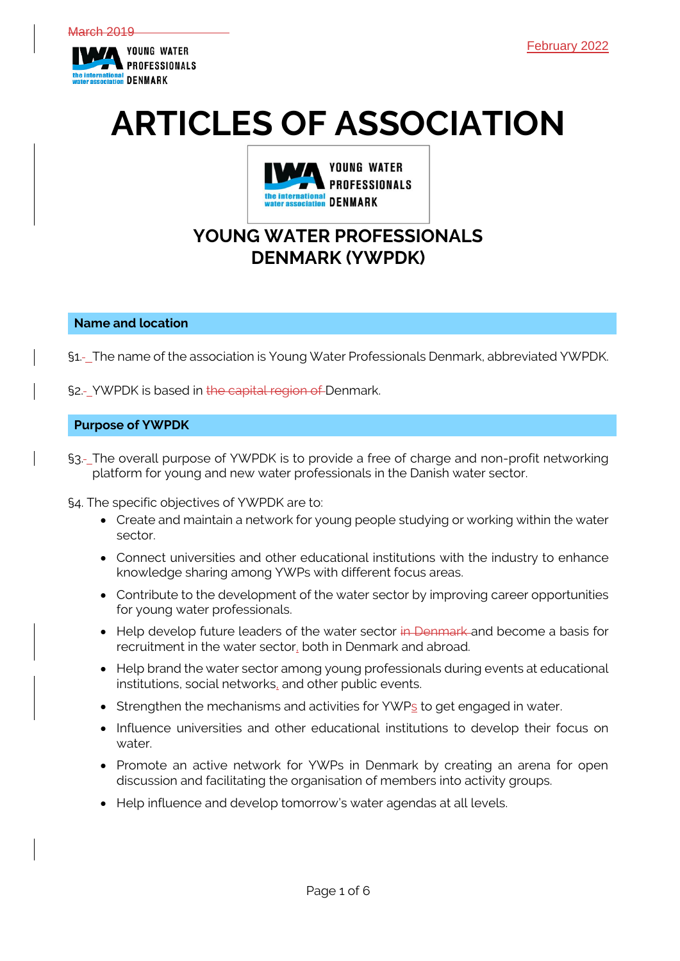

# **ARTICLES OF ASSOCIATION**



# **YOUNG WATER PROFESSIONALS DENMARK (YWPDK)**

# **Name and location**

§1. The name of the association is Young Water Professionals Denmark, abbreviated YWPDK.

§2.- YWPDK is based in the capital region of Denmark.

# **Purpose of YWPDK**

§3.-\_The overall purpose of YWPDK is to provide a free of charge and non-profit networking platform for young and new water professionals in the Danish water sector.

§4. The specific objectives of YWPDK are to:

- Create and maintain a network for young people studying or working within the water sector.
- Connect universities and other educational institutions with the industry to enhance knowledge sharing among YWPs with different focus areas.
- Contribute to the development of the water sector by improving career opportunities for young water professionals.
- Help develop future leaders of the water sector in Denmark and become a basis for recruitment in the water sector, both in Denmark and abroad.
- Help brand the water sector among young professionals during events at educational institutions, social networks, and other public events.
- Strengthen the mechanisms and activities for YWPs to get engaged in water.
- Influence universities and other educational institutions to develop their focus on water.
- Promote an active network for YWPs in Denmark by creating an arena for open discussion and facilitating the organisation of members into activity groups.
- Help influence and develop tomorrow's water agendas at all levels.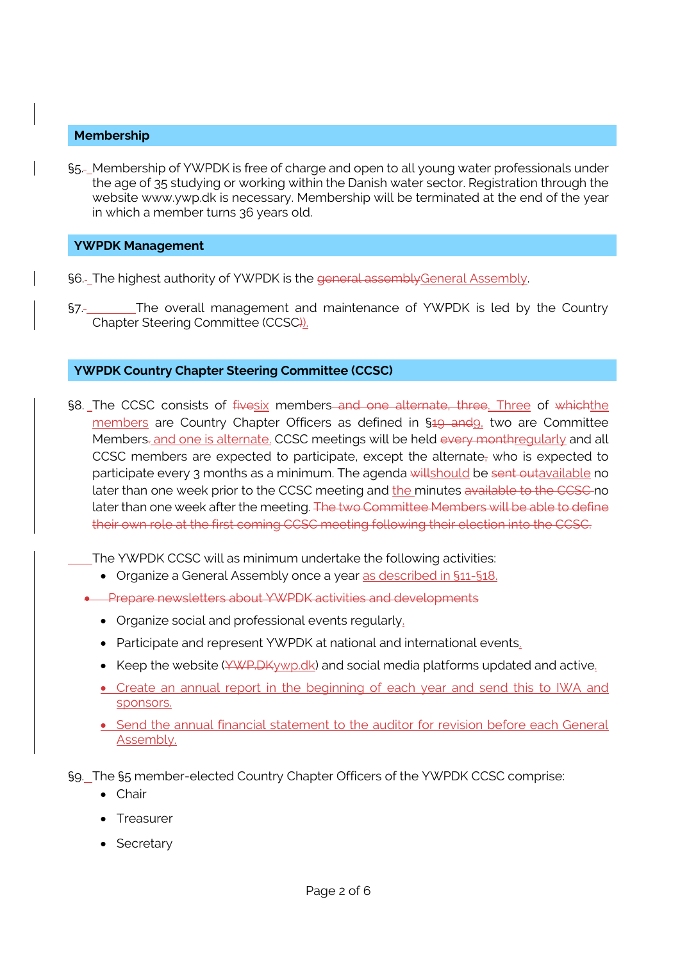# **Membership**

§5.- Membership of YWPDK is free of charge and open to all young water professionals under the age of 35 studying or working within the Danish water sector. Registration through the website www.ywp.dk is necessary. Membership will be terminated at the end of the year in which a member turns 36 years old.

# **YWPDK Management**

- §6.- The highest authority of YWPDK is the general assembly General Assembly.
- §7. The overall management and maintenance of YWPDK is led by the Country Chapter Steering Committee (CCSC)).

# **YWPDK Country Chapter Steering Committee (CCSC)**

§8. The CCSC consists of fivesix members and one alternate, three. Three of whichthe members are Country Chapter Officers as defined in §<del>19 and</del>9, two are Committee Members-and one is alternate. CCSC meetings will be held every monthreqularly and all CCSC members are expected to participate, except the alternate, who is expected to participate every 3 months as a minimum. The agenda willshould be sent outavailable no later than one week prior to the CCSC meeting and the minutes available to the CCSC no later than one week after the meeting. The two Committee Members will be able to define their own role at the first coming CCSC meeting following their election into the CCSC.

The YWPDK CCSC will as minimum undertake the following activities:

- Organize a General Assembly once a year as described in §11-§18.
- Prepare newsletters about YWPDK activities and developments
	- Organize social and professional events regularly.
	- Participate and represent YWPDK at national and international events.
	- Keep the website  $(44.44)$  Keep the website ( $44.4$ keep k) and social media platforms updated and active.
	- Create an annual report in the beginning of each year and send this to IWA and sponsors.
	- Send the annual financial statement to the auditor for revision before each General Assembly.

§9. The §5 member-elected Country Chapter Officers of the YWPDK CCSC comprise:

- Chair
- Treasurer
- Secretary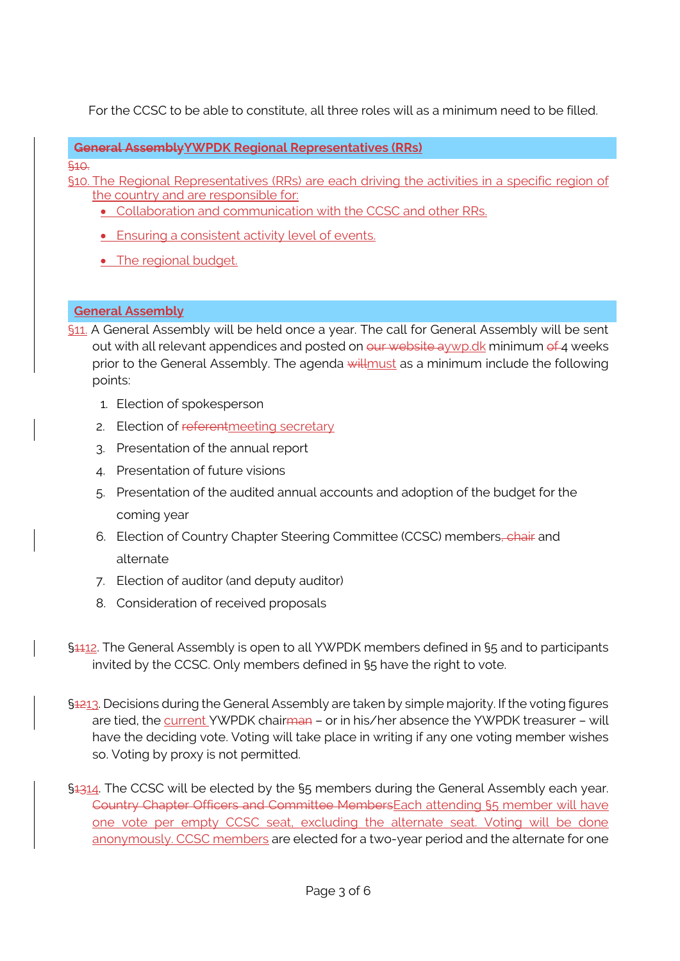For the CCSC to be able to constitute, all three roles will as a minimum need to be filled.

# **General AssemblyYWPDK Regional Representatives (RRs)**

§10.

- §10. The Regional Representatives (RRs) are each driving the activities in a specific region of the country and are responsible for:
	- Collaboration and communication with the CCSC and other RRs.
	- Ensuring a consistent activity level of events.
	- The regional budget.

# **General Assembly**

- §11. A General Assembly will be held once a year. The call for General Assembly will be sent out with all relevant appendices and posted on our website aywp.dk minimum of 4 weeks prior to the General Assembly. The agenda will must as a minimum include the following points:
	- 1. Election of spokesperson
	- 2. Election of referentmeeting secretary
	- 3. Presentation of the annual report
	- 4. Presentation of future visions
	- 5. Presentation of the audited annual accounts and adoption of the budget for the coming year
	- 6. Election of Country Chapter Steering Committee (CCSC) members, chair and alternate
	- 7. Election of auditor (and deputy auditor)
	- 8. Consideration of received proposals
- §4412. The General Assembly is open to all YWPDK members defined in §5 and to participants invited by the CCSC. Only members defined in §5 have the right to vote.
- §1213. Decisions during the General Assembly are taken by simple majority. If the voting figures are tied, the current YWPDK chairman - or in his/her absence the YWPDK treasurer - will have the deciding vote. Voting will take place in writing if any one voting member wishes so. Voting by proxy is not permitted.
- §1314. The CCSC will be elected by the §5 members during the General Assembly each year. Country Chapter Officers and Committee MembersEach attending §5 member will have one vote per empty CCSC seat, excluding the alternate seat. Voting will be done anonymously. CCSC members are elected for a two-year period and the alternate for one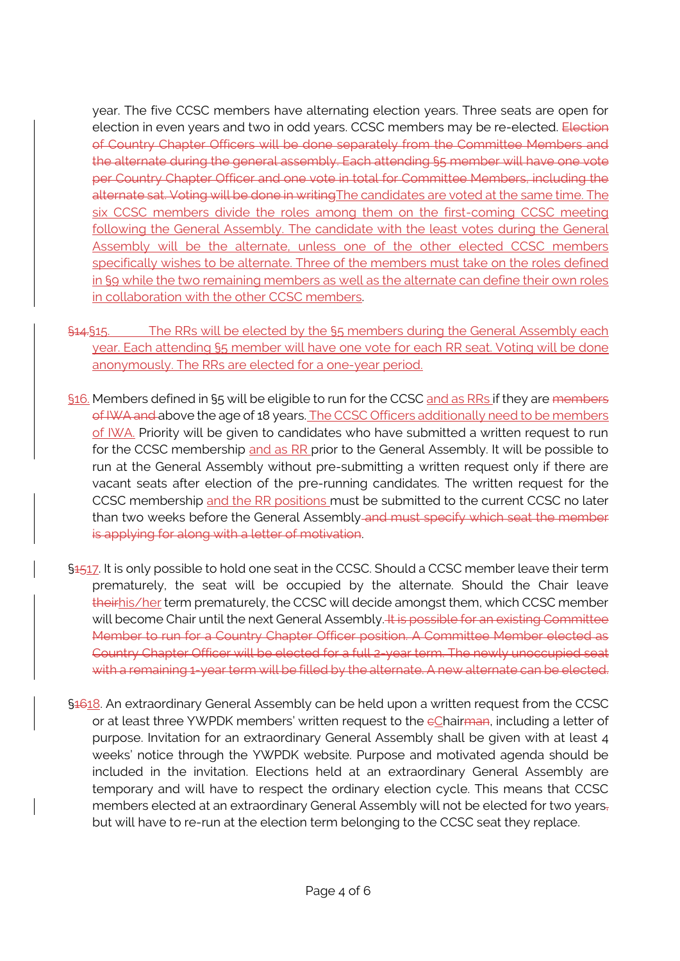year. The five CCSC members have alternating election years. Three seats are open for election in even years and two in odd years. CCSC members may be re-elected. Election of Country Chapter Officers will be done separately from the Committee Members and the alternate during the general assembly. Each attending §5 member will have one vote per Country Chapter Officer and one vote in total for Committee Members, including the alternate sat. Voting will be done in writing The candidates are voted at the same time. The six CCSC members divide the roles among them on the first-coming CCSC meeting following the General Assembly. The candidate with the least votes during the General Assembly will be the alternate, unless one of the other elected CCSC members specifically wishes to be alternate. Three of the members must take on the roles defined in §9 while the two remaining members as well as the alternate can define their own roles in collaboration with the other CCSC members.

- §14.§15. The RRs will be elected by the §5 members during the General Assembly each year. Each attending §5 member will have one vote for each RR seat. Voting will be done anonymously. The RRs are elected for a one-year period.
- §16. Members defined in §5 will be eligible to run for the CCSC and as RRs if they are members of IWA and above the age of 18 years. The CCSC Officers additionally need to be members of IWA. Priority will be given to candidates who have submitted a written request to run for the CCSC membership and as RR prior to the General Assembly. It will be possible to run at the General Assembly without pre-submitting a written request only if there are vacant seats after election of the pre-running candidates. The written request for the CCSC membership and the RR positions must be submitted to the current CCSC no later than two weeks before the General Assembly and must specify which seat the member is applying for along with a letter of motivation.
- §1517. It is only possible to hold one seat in the CCSC. Should a CCSC member leave their term prematurely, the seat will be occupied by the alternate. Should the Chair leave theirhis/her term prematurely, the CCSC will decide amongst them, which CCSC member will become Chair until the next General Assembly. It is possible for an existing Committee Member to run for a Country Chapter Officer position. A Committee Member elected as Country Chapter Officer will be elected for a full 2-year term. The newly unoccupied seat with a remaining 1-year term will be filled by the alternate. A new alternate can be elected.
- §4618. An extraordinary General Assembly can be held upon a written request from the CCSC or at least three YWPDK members' written request to the  $cC$  hairman, including a letter of purpose. Invitation for an extraordinary General Assembly shall be given with at least 4 weeks' notice through the YWPDK website. Purpose and motivated agenda should be included in the invitation. Elections held at an extraordinary General Assembly are temporary and will have to respect the ordinary election cycle. This means that CCSC members elected at an extraordinary General Assembly will not be elected for two years, but will have to re-run at the election term belonging to the CCSC seat they replace.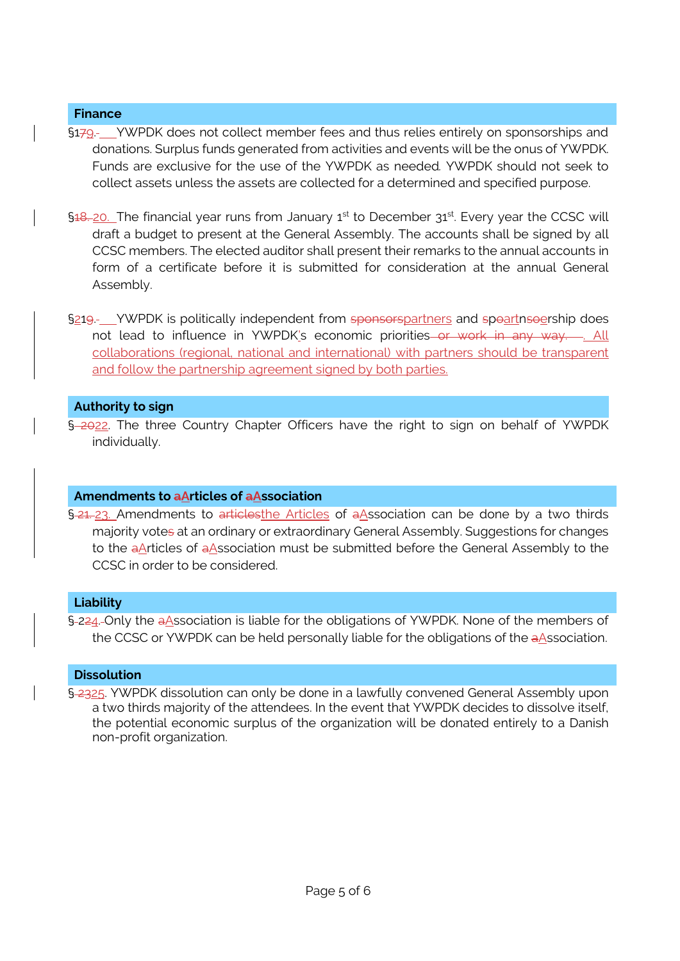# **Finance**

- §179. YWPDK does not collect member fees and thus relies entirely on sponsorships and donations. Surplus funds generated from activities and events will be the onus of YWPDK. Funds are exclusive for the use of the YWPDK as needed*.* YWPDK should not seek to collect assets unless the assets are collected for a determined and specified purpose.
- §<del>18. 20</del>. The financial year runs from January 1<sup>st</sup> to December 31<sup>st</sup>. Every year the CCSC will draft a budget to present at the General Assembly. The accounts shall be signed by all CCSC members. The elected auditor shall present their remarks to the annual accounts in form of a certificate before it is submitted for consideration at the annual General Assembly.
- §21<del>9</del>. YWPDK is politically independent from sponsorspartners and spoartnsoership does not lead to influence in YWPDK's economic priorities or work in any way....... All collaborations (regional, national and international) with partners should be transparent and follow the partnership agreement signed by both parties.

# **Authority to sign**

§ 2022. The three Country Chapter Officers have the right to sign on behalf of YWPDK individually.

# **Amendments to aArticles of aAssociation**

§ 21. 23. Amendments to articlesthe Articles of aAssociation can be done by a two thirds majority votes at an ordinary or extraordinary General Assembly. Suggestions for changes to the aArticles of aAssociation must be submitted before the General Assembly to the CCSC in order to be considered.

# **Liability**

§ 224. Only the aAssociation is liable for the obligations of YWPDK. None of the members of the CCSC or YWPDK can be held personally liable for the obligations of the aAssociation.

# **Dissolution**

§ 2325. YWPDK dissolution can only be done in a lawfully convened General Assembly upon a two thirds majority of the attendees. In the event that YWPDK decides to dissolve itself, the potential economic surplus of the organization will be donated entirely to a Danish non-profit organization.